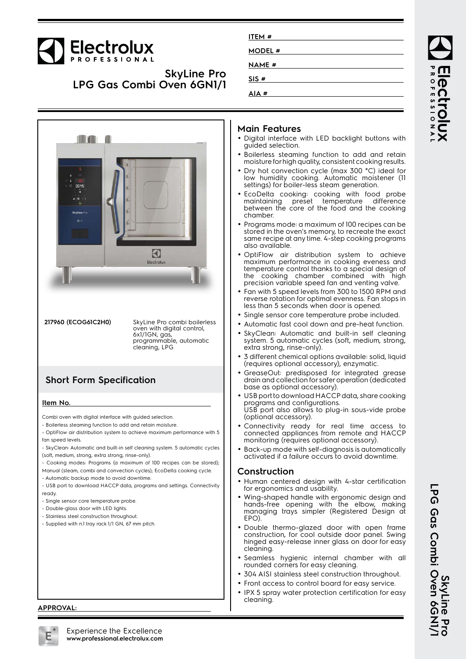# Electrolux

**SkyLine Pro LPG Gas Combi Oven 6GN1/1**



**217960 (ECOG61C2H0)** SkyLine Pro combi boilerless oven with digital control, 6x1/1GN, gas, programmable, automatic cleaning, LPG

#### **Short Form Specification**

#### **Item No.**

Combi oven with digital interface with guided selection.

- Boilerless steaming function to add and retain moisture.

- OptiFlow air distribution system to achieve maximum performance with 5 fan speed levels.

- SkyClean: Automatic and built-in self cleaning system. 5 automatic cycles (soft, medium, strong, extra strong, rinse-only).

- Cooking modes: Programs (a maximum of 100 recipes can be stored);

Manual (steam, combi and convection cycles); EcoDelta cooking cycle.

- Automatic backup mode to avoid downtime.

- USB port to download HACCP data, programs and settings. Connectivity ready.

- Single sensor core temperature probe.

- Double-glass door with LED lights.

- Stainless steel construction throughout.
- Supplied with n.1 tray rack 1/1 GN, 67 mm pitch.

### **ITEM # MODEL # NAME # SIS # AIA #**

#### **Main Features**

- Digital interface with LED backlight buttons with guided selection.
- Boilerless steaming function to add and retain moisture for high quality, consistent cooking results.
- Dry hot convection cycle (max 300 °C) ideal for low humidity cooking. Automatic moistener (11 settings) for boiler-less steam generation.
- EcoDelta cooking: cooking with food probe maintaining preset temperature difference between the core of the food and the cooking chamber.
- • Programs mode: a maximum of 100 recipes can be stored in the oven's memory, to recreate the exact same recipe at any time. 4-step cooking programs also available.
- • OptiFlow air distribution system to achieve maximum performance in cooking eveness and temperature control thanks to a special design of the cooking chamber combined with high precision variable speed fan and venting valve.
- Fan with 5 speed levels from 300 to 1500 RPM and reverse rotation for optimal evenness. Fan stops in less than 5 seconds when door is opened.
- Single sensor core temperature probe included.
- •Automatic fast cool down and pre-heat function.
- • SkyClean: Automatic and built-in self cleaning system. 5 automatic cycles (soft, medium, strong, extra strong, rinse-only).
- • 3 different chemical options available: solid, liquid (requires optional accessory), enzymatic.
- • GreaseOut: predisposed for integrated grease drain and collection for safer operation (dedicated base as optional accessory).
- USB port to download HACCP data, share cooking programs and configurations. USB port also allows to plug-in sous-vide probe (optional accessory).
- • Connectivity ready for real time access to connected appliances from remote and HACCP monitoring (requires optional accessory).
- Back-up mode with self-diagnosis is automatically activated if a failure occurs to avoid downtime.

#### **Construction**

- Human centered design with 4-star certification for ergonomics and usability.
- Wing-shaped handle with ergonomic design and hands-free opening with the elbow, making managing trays simpler (Registered Design at EPO).
- Double thermo-glazed door with open frame construction, for cool outside door panel. Swing hinged easy-release inner glass on door for easy cleaning.
- Seamless hygienic internal chamber with all rounded corners for easy cleaning.
- •304 AISI stainless steel construction throughout.
- Front access to control board for easy service.
- • IPX 5 spray water protection certification for easy cleaning.

**ROFESSIONA** Iect

**SkyLine Pro**

**LPG Gas Combi Oven 6GN1/1**

LPG Gas Combi Oven 6GNI,<br>LPG Gas Combi Oven 6GNI,

**APPROVAL:**

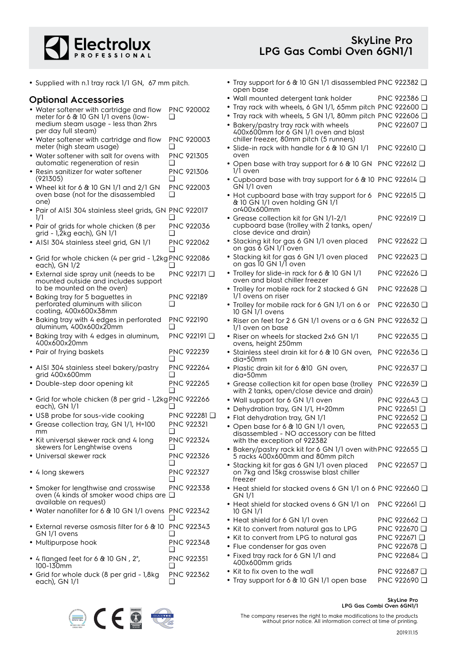

• Tray support for 6 & 10 GN 1/1 disassembled PNC 922382 ❑

open base

• Supplied with n.1 tray rack 1/1 GN, 67 mm pitch.

| <b>Optional Accessories</b>                                                                       |                        | · Wall mounted detergent tank holder                                                                                                         | PNC 922386 <del>□</del>             |
|---------------------------------------------------------------------------------------------------|------------------------|----------------------------------------------------------------------------------------------------------------------------------------------|-------------------------------------|
| • Water softener with cartridge and flow                                                          | PNC 920002             | Tray rack with wheels, 6 GN 1/1, 65mm pitch PNC 922600 Q                                                                                     |                                     |
| meter for 6 & 10 GN 1/1 ovens (low-<br>medium steam usage - less than 2hrs<br>per day full steam) | ❏                      | • Tray rack with wheels, 5 GN 1/1, 80mm pitch PNC 922606 Q<br>• Bakery/pastry tray rack with wheels<br>400x600mm for 6 GN 1/1 oven and blast | PNC 922607 □                        |
| • Water softener with cartridge and flow<br>meter (high steam usage)                              | PNC 920003             | chiller freezer, 80mm pitch (5 runners)<br>• Slide-in rack with handle for 6 & 10 GN 1/1                                                     | PNC 922610 <b>□</b>                 |
| • Water softener with salt for ovens with                                                         | <b>PNC 921305</b><br>∩ | oven                                                                                                                                         |                                     |
| automatic regeneration of resin<br>• Resin sanitizer for water softener                           | PNC 921306             | • Open base with tray support for 6 & 10 GN PNC 922612 Q<br>1/1 oven                                                                         |                                     |
| (921305)<br>• Wheel kit for 6 $&$ 10 GN 1/1 and 2/1 GN                                            | PNC 922003             | • Cupboard base with tray support for 6 & 10 PNC 922614 Q<br>GN 1/1 oven                                                                     |                                     |
| oven base (not for the disassembled<br>one)                                                       | ❏                      | • Hot cupboard base with tray support for 6 PNC 922615 $\Box$<br>& 10 GN 1/1 oven holding GN 1/1                                             |                                     |
| · Pair of AISI 304 stainless steel grids, GN PNC 922017                                           |                        | or400x600mm                                                                                                                                  |                                     |
| 1/1<br>• Pair of grids for whole chicken (8 per<br>grid - 1,2kg each), GN 1/1                     | PNC 922036             | • Grease collection kit for GN 1/1-2/1<br>cupboard base (trolley with 2 tanks, open/<br>close device and drain)                              | PNC 922619 <b>□</b>                 |
| • AISI 304 stainless steel grid, GN 1/1                                                           | <b>PNC 922062</b>      | • Stacking kit for gas 6 GN 1/1 oven placed<br>on gas 6 GN 1/1 oven                                                                          | PNC 922622 <b>□</b>                 |
| • Grid for whole chicken (4 per grid - 1,2kg PNC 922086<br>each), GN 1/2                          |                        | • Stacking kit for gas 6 GN 1/1 oven placed<br>on gas 10 GN 1/1 oven                                                                         | PNC 922623 □                        |
| • External side spray unit (needs to be<br>mounted outside and includes support                   | PNC 922171 <b>□</b>    | • Trolley for slide-in rack for 6 & 10 GN 1/1<br>oven and blast chiller freezer                                                              | PNC 922626 <b>□</b>                 |
| to be mounted on the oven)<br>• Baking tray for 5 baguettes in                                    | PNC 922189             | • Trolley for mobile rack for 2 stacked 6 GN<br>1/1 ovens on riser                                                                           | PNC 922628 □                        |
| perforated aluminum with silicon<br>coating, 400x600x38mm                                         | ❏                      | • Trolley for mobile rack for 6 GN 1/1 on 6 or<br>10 GN 1/1 ovens                                                                            | PNC 922630 □                        |
| • Baking tray with 4 edges in perforated<br>aluminum, 400x600x20mm                                | <b>PNC 922190</b>      | • Riser on feet for 2 6 GN 1/1 ovens or a 6 GN PNC 922632 $\Box$<br>1/1 oven on base                                                         |                                     |
| • Baking tray with 4 edges in aluminum,<br>400x600x20mm                                           | PNC 922191 <b>□</b>    | • Riser on wheels for stacked 2x6 GN 1/1<br>ovens, height 250mm                                                                              | PNC 922635 <b>□</b>                 |
| • Pair of frying baskets                                                                          | PNC 922239<br>□        | • Stainless steel drain kit for 6 & 10 GN oven,<br>dia=50mm                                                                                  | PNC 922636 <b>□</b>                 |
| • AISI 304 stainless steel bakery/pastry<br>grid 400x600mm                                        | <b>PNC 922264</b>      | · Plastic drain kit for 6 &10 GN oven,<br>dia=50mm                                                                                           | PNC 922637 □                        |
| · Double-step door opening kit                                                                    | <b>PNC 922265</b>      | • Grease collection kit for open base (trolley<br>with 2 tanks, open/close device and drain)                                                 | PNC 922639 <b>□</b>                 |
| • Grid for whole chicken (8 per grid - 1,2kg PNC 922266<br>each), GN 1/1                          |                        | • Wall support for 6 GN 1/1 oven<br>• Dehydration tray, GN 1/1, H=20mm                                                                       | PNC 922643 □<br>PNC 922651 □        |
| • USB probe for sous-vide cooking                                                                 | PNC 922281 □           | • Flat dehydration tray, GN 1/1                                                                                                              | PNC 922652 □                        |
| • Grease collection tray, GN 1/1, H=100<br>mm                                                     | <b>PNC 922321</b>      | • Open base for 6 & 10 GN 1/1 oven,<br>disassembled - NO accessory can be fitted                                                             | PNC 922653 □                        |
| • Kit universal skewer rack and 4 long<br>skewers for Lenghtwise ovens                            | <b>PNC 922324</b>      | with the exception of 922382<br>• Bakery/pastry rack kit for 6 GN 1/1 oven with PNC 922655 Q                                                 |                                     |
| • Universal skewer rack                                                                           | PNC 922326<br>❏        | 5 racks 400x600mm and 80mm pitch                                                                                                             |                                     |
| • 4 long skewers                                                                                  | <b>PNC 922327</b><br>ப | • Stacking kit for gas 6 GN 1/1 oven placed<br>on 7kg and 15kg crosswise blast chiller<br>freezer                                            | PNC 922657 Q                        |
| • Smoker for lengthwise and crosswise<br>oven (4 kinds of smoker wood chips are $\Box$            | PNC 922338             | • Heat shield for stacked ovens 6 GN 1/1 on 6 PNC 922660 Q<br>GN 1/1                                                                         |                                     |
| available on request)<br>• Water nanofilter for 6 & 10 GN 1/1 ovens PNC 922342                    |                        | • Heat shield for stacked ovens 6 GN 1/1 on<br>10 GN 1/1                                                                                     | PNC 922661 Q                        |
|                                                                                                   | <b>PNC 922343</b>      | • Heat shield for 6 GN 1/1 oven                                                                                                              | PNC 922662 Q                        |
| • External reverse osmosis filter for 6 & 10<br>GN 1/1 ovens                                      |                        | • Kit to convert from natural gas to LPG                                                                                                     | PNC 922670 <b>□</b>                 |
| • Multipurpose hook                                                                               | PNC 922348             | • Kit to convert from LPG to natural gas                                                                                                     | PNC 922671 □                        |
|                                                                                                   | ப                      | • Flue condenser for gas oven                                                                                                                | PNC 922678 <del>□</del>             |
| • 4 flanged feet for 6 $\&$ 10 GN, 2",<br>100-130mm                                               | PNC 922351<br>❏        | • Fixed tray rack for 6 GN 1/1 and<br>400x600mm grids                                                                                        | PNC 922684 □                        |
| • Grid for whole duck (8 per grid - 1,8kg                                                         | PNC 922362             | • Kit to fix oven to the wall<br>• Tray support for 6 & 10 GN 1/1 open base                                                                  | PNC 922687 □<br>PNC 922690 <b>□</b> |
| each), GN 1/1                                                                                     |                        |                                                                                                                                              |                                     |



**SkyLine Pro LPG Gas Combi Oven 6GN1/1**

The company reserves the right to make modifications to the products without prior notice. All information correct at time of printing.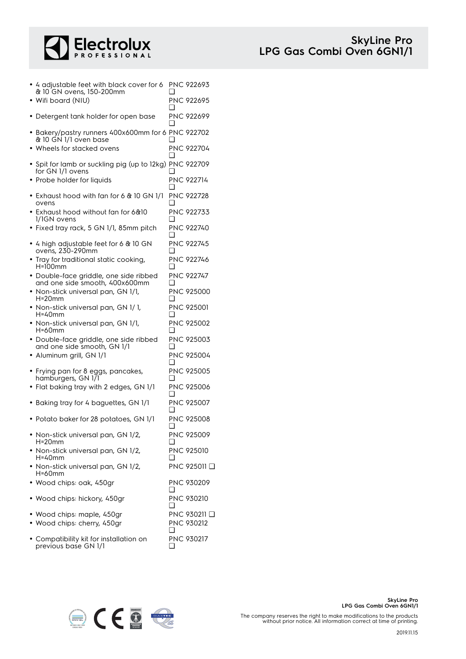

| • 4 adjustable feet with black cover for 6<br>& 10 GN ovens, 150-200mm      | H   | <b>PNC 922693</b>          |
|-----------------------------------------------------------------------------|-----|----------------------------|
| • Wifi board (NIU)                                                          |     | PNC 922695                 |
| • Detergent tank holder for open base                                       | □   | PNC 922699                 |
| • Bakery/pastry runners 400x600mm for 6 PNC 922702<br>& 10 GN 1/1 oven base |     |                            |
| • Wheels for stacked ovens                                                  | ∩   | PNC 922704                 |
| • Spit for lamb or suckling pig (up to 12kg) PNC 922709<br>for GN 1/1 ovens |     |                            |
| • Probe holder for liquids                                                  | □   | <b>PNC 922714</b>          |
| $\bullet$ Exhaust hood with fan for 6 & 10 GN 1/1<br>ovens                  | ❏   | <b>PNC 922728</b>          |
| $\bullet\,$ Exhaust hood without fan for 6&10<br>1/1GN ovens                |     | PNC 922733                 |
| · Fixed tray rack, 5 GN 1/1, 85mm pitch                                     |     | PNC 922740                 |
| $\bullet$ 4 high adjustable feet for 6 & 10 GN<br>ovens, 230-290mm          |     | <b>PNC 922745</b>          |
| • Tray for traditional static cooking,<br>H=100mm                           | □   | <b>PNC 922746</b>          |
| · Double-face griddle, one side ribbed<br>and one side smooth, 400x600mm    | ❏   | <b>PNC 922747</b>          |
| • Non-stick universal pan, GN 1/1,<br>$H = 20$ mm                           | ∣ 1 | PNC 925000                 |
| • Non-stick universal pan, GN 1/1,<br>H=40mm                                |     | PNC 925001                 |
| • Non-stick universal pan, GN 1/1,<br>H=60mm                                |     | PNC 925002                 |
| · Double-face griddle, one side ribbed<br>and one side smooth, GN 1/1       | ∣ 1 | PNC 925003                 |
| · Aluminum grill, GN 1/1                                                    | □   | PNC 925004                 |
| • Frying pan for 8 eggs, pancakes,<br>hamburgers, GN 171                    | ∣ 1 | <b>PNC 925005</b>          |
| • Flat baking tray with 2 edges, GN 1/1                                     | □   | PNC 925006                 |
| • Baking tray for 4 baguettes, GN 1/1                                       |     | PNC 925007                 |
| • Potato baker for 28 potatoes, GN 1/1                                      | ┚   | PNC 925008                 |
| • Non-stick universal pan, GN 1/2,<br>$H=20$ mm                             | ❏   | <b>PNC 925009</b>          |
| · Non-stick universal pan, GN 1/2,<br>H=40mm                                | ப   | <b>PNC 925010</b>          |
| • Non-stick universal pan, GN 1/2,<br>H=60mm                                |     | PNC 925011 <b>❑</b>        |
| · Wood chips: oak, 450gr                                                    | ❏   | PNC 930209                 |
| • Wood chips: hickory, 450gr                                                | ⊔   | PNC 930210                 |
| • Wood chips: maple, 450gr<br>• Wood chips: cherry, 450gr                   | ❏   | PNC 930211 □<br>PNC 930212 |
| • Compatibility kit for installation on<br>previous base GN 1/1             |     | PNC 930217                 |



previous base GN 1/1